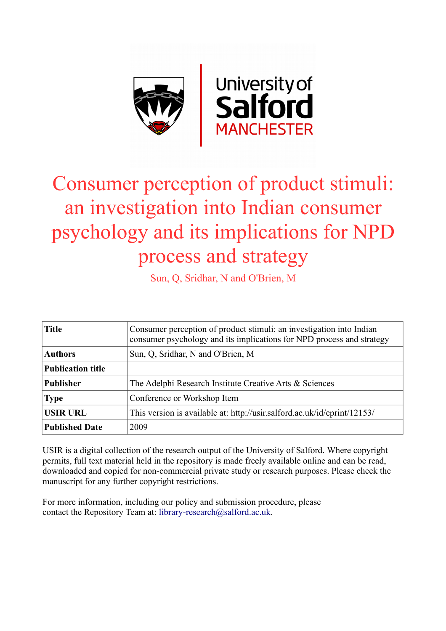

# Consumer perception of product stimuli: an investigation into Indian consumer psychology and its implications for NPD process and strategy

Sun, Q, Sridhar, N and O'Brien, M

| <b>Title</b>             | Consumer perception of product stimuli: an investigation into Indian<br>consumer psychology and its implications for NPD process and strategy |  |  |
|--------------------------|-----------------------------------------------------------------------------------------------------------------------------------------------|--|--|
| <b>Authors</b>           | Sun, Q, Sridhar, N and O'Brien, M                                                                                                             |  |  |
| <b>Publication title</b> |                                                                                                                                               |  |  |
| <b>Publisher</b>         | The Adelphi Research Institute Creative Arts & Sciences                                                                                       |  |  |
| <b>Type</b>              | Conference or Workshop Item                                                                                                                   |  |  |
| <b>USIR URL</b>          | This version is available at: http://usir.salford.ac.uk/id/eprint/12153/                                                                      |  |  |
| <b>Published Date</b>    | 2009                                                                                                                                          |  |  |

USIR is a digital collection of the research output of the University of Salford. Where copyright permits, full text material held in the repository is made freely available online and can be read, downloaded and copied for non-commercial private study or research purposes. Please check the manuscript for any further copyright restrictions.

For more information, including our policy and submission procedure, please contact the Repository Team at: [library-research@salford.ac.uk.](mailto:library-research@salford.ac.uk)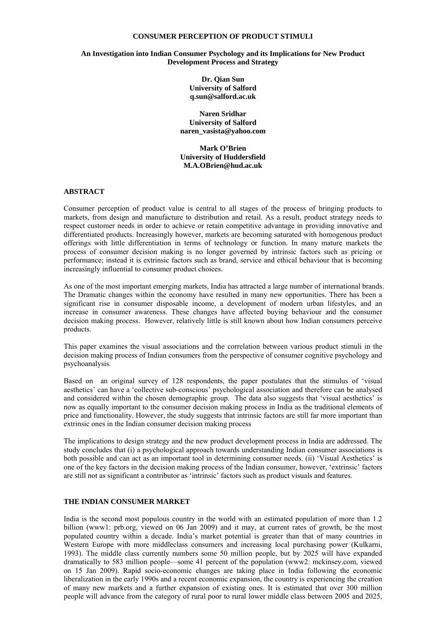#### **CONSUMER PERCEPTION OF PRODUCT STIMULI**

#### **An Investigation into Indian Consumer Psychology and its Implications for New Product Development Process and Strategy**

**Dr. Qian Sun University of Salford q.sun@salford.ac.uk** 

**Naren Sridhar University of Salford naren\_vasista@yahoo.com** 

**Mark O'Brien University of Huddersfield M.A.OBrien@hud.ac.uk**

#### **ABSTRACT**

Consumer perception of product value is central to all stages of the process of bringing products to markets, from design and manufacture to distribution and retail. As a result, product strategy needs to respect customer needs in order to achieve or retain competitive advantage in providing innovative and differentiated products. Increasingly however, markets are becoming saturated with homogenous product offerings with little differentiation in terms of technology or function. In many mature markets the process of consumer decision making is no longer governed by intrinsic factors such as pricing or performance; instead it is extrinsic factors such as brand, service and ethical behaviour that is becoming increasingly influential to consumer product choices.

As one of the most important emerging markets, India has attracted a large number of international brands. The Dramatic changes within the economy have resulted in many new opportunities. There has been a significant rise in consumer disposable income, a development of modern urban lifestyles, and an increase in consumer awareness. These changes have affected buying behaviour and the consumer decision making process. However, relatively little is still known about how Indian consumers perceive products.

This paper examines the visual associations and the correlation between various product stimuli in the decision making process of Indian consumers from the perspective of consumer cognitive psychology and psychoanalysis.

Based on an original survey of 128 respondents, the paper postulates that the stimulus of 'visual aesthetics' can have a 'collective sub-conscious' psychological association and therefore can be analysed and considered within the chosen demographic group. The data also suggests that 'visual aesthetics' is now as equally important to the consumer decision making process in India as the traditional elements of price and functionality. However, the study suggests that intrinsic factors are still far more important than extrinsic ones in the Indian consumer decision making process

The implications to design strategy and the new product development process in India are addressed. The study concludes that (i) a psychological approach towards understanding Indian consumer associations is both possible and can act as an important tool in determining consumer needs. (ii) 'Visual Aesthetics' is one of the key factors in the decision making process of the Indian consumer, however, 'extrinsic' factors are still not as significant a contributor as 'intrinsic' factors such as product visuals and features.

## **THE INDIAN CONSUMER MARKET**

India is the second most populous country in the world with an estimated population of more than 1.2 billion (www1: prb.org, viewed on 06 Jan 2009) and it may, at current rates of growth, be the most populated country within a decade. India's market potential is greater than that of many countries in Western Europe with more middleclass consumers and increasing local purchasing power (Kulkarni, 1993). The middle class currently numbers some 50 million people, but by 2025 will have expanded dramatically to 583 million people—some 41 percent of the population (www2: mckinsey.com, viewed on 15 Jan 2009). Rapid socio-economic changes are taking place in India following the economic liberalization in the early 1990s and a recent economic expansion, the country is experiencing the creation of many new markets and a further expansion of existing ones. It is estimated that over 300 million people will advance from the category of rural poor to rural lower middle class between 2005 and 2025,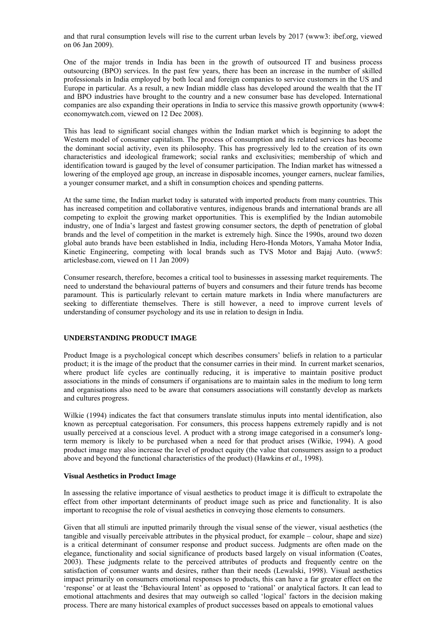and that rural consumption levels will rise to the current urban levels by 2017 (www3: ibef.org, viewed on 06 Jan 2009).

One of the major trends in India has been in the growth of outsourced IT and business process outsourcing (BPO) services. In the past few years, there has been an increase in the number of skilled professionals in India employed by both local and foreign companies to service customers in the US and Europe in particular. As a result, a new Indian middle class has developed around the wealth that the IT and BPO industries have brought to the country and a new consumer base has developed. International companies are also expanding their operations in India to service this massive growth opportunity (www4: economywatch.com, viewed on 12 Dec 2008).

This has lead to significant social changes within the Indian market which is beginning to adopt the Western model of consumer capitalism. The process of consumption and its related services has become the dominant social activity, even its philosophy. This has progressively led to the creation of its own characteristics and ideological framework; social ranks and exclusivities; membership of which and identification toward is gauged by the level of consumer participation. The Indian market has witnessed a lowering of the employed age group, an increase in disposable incomes, younger earners, nuclear families, a younger consumer market, and a shift in consumption choices and spending patterns.

At the same time, the Indian market today is saturated with imported products from many countries. This has increased competition and collaborative ventures, indigenous brands and international brands are all competing to exploit the growing market opportunities. This is exemplified by the Indian automobile industry, one of India's largest and fastest growing consumer sectors, the depth of penetration of global brands and the level of competition in the market is extremely high. Since the 1990s, around two dozen global auto brands have been established in India, including Hero-Honda Motors, Yamaha Motor India, Kinetic Engineering, competing with local brands such as TVS Motor and Bajaj Auto. (www5: articlesbase.com, viewed on 11 Jan 2009)

Consumer research, therefore, becomes a critical tool to businesses in assessing market requirements. The need to understand the behavioural patterns of buyers and consumers and their future trends has become paramount. This is particularly relevant to certain mature markets in India where manufacturers are seeking to differentiate themselves. There is still however, a need to improve current levels of understanding of consumer psychology and its use in relation to design in India.

## **UNDERSTANDING PRODUCT IMAGE**

Product Image is a psychological concept which describes consumers' beliefs in relation to a particular product; it is the image of the product that the consumer carries in their mind. In current market scenarios, where product life cycles are continually reducing, it is imperative to maintain positive product associations in the minds of consumers if organisations are to maintain sales in the medium to long term and organisations also need to be aware that consumers associations will constantly develop as markets and cultures progress.

Wilkie (1994) indicates the fact that consumers translate stimulus inputs into mental identification, also known as perceptual categorisation. For consumers, this process happens extremely rapidly and is not usually perceived at a conscious level. A product with a strong image categorised in a consumer's longterm memory is likely to be purchased when a need for that product arises (Wilkie, 1994). A good product image may also increase the level of product equity (the value that consumers assign to a product above and beyond the functional characteristics of the product) (Hawkins *et al.,* 1998).

#### **Visual Aesthetics in Product Image**

In assessing the relative importance of visual aesthetics to product image it is difficult to extrapolate the effect from other important determinants of product image such as price and functionality. It is also important to recognise the role of visual aesthetics in conveying those elements to consumers.

Given that all stimuli are inputted primarily through the visual sense of the viewer, visual aesthetics (the tangible and visually perceivable attributes in the physical product, for example – colour, shape and size) is a critical determinant of consumer response and product success. Judgments are often made on the elegance, functionality and social significance of products based largely on visual information (Coates, 2003). These judgments relate to the perceived attributes of products and frequently centre on the satisfaction of consumer wants and desires, rather than their needs (Lewalski, 1998). Visual aesthetics impact primarily on consumers emotional responses to products, this can have a far greater effect on the 'response' or at least the 'Behavioural Intent' as opposed to 'rational' or analytical factors. It can lead to emotional attachments and desires that may outweigh so called 'logical' factors in the decision making process. There are many historical examples of product successes based on appeals to emotional values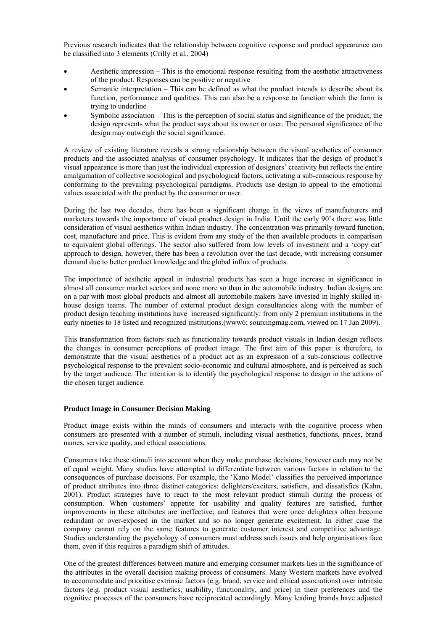Previous research indicates that the relationship between cognitive response and product appearance can be classified into 3 elements (Crilly et al., 2004)

- Aesthetic impression This is the emotional response resulting from the aesthetic attractiveness of the product. Responses can be positive or negative
- Semantic interpretation This can be defined as what the product intends to describe about its function, performance and qualities. This can also be a response to function which the form is trying to underline
- Symbolic association This is the perception of social status and significance of the product, the design represents what the product says about its owner or user. The personal significance of the design may outweigh the social significance.

A review of existing literature reveals a strong relationship between the visual aesthetics of consumer products and the associated analysis of consumer psychology. It indicates that the design of product's visual appearance is more than just the individual expression of designers' creativity but reflects the entire amalgamation of collective sociological and psychological factors, activating a sub-conscious response by conforming to the prevailing psychological paradigms. Products use design to appeal to the emotional values associated with the product by the consumer or user.

During the last two decades, there has been a significant change in the views of manufacturers and marketers towards the importance of visual product design in India. Until the early 90's there was little consideration of visual aesthetics within Indian industry. The concentration was primarily toward function, cost, manufacture and price. This is evident from any study of the then available products in comparison to equivalent global offerings. The sector also suffered from low levels of investment and a 'copy cat' approach to design, however, there has been a revolution over the last decade, with increasing consumer demand due to better product knowledge and the global influx of products.

The importance of aesthetic appeal in industrial products has seen a huge increase in significance in almost all consumer market sectors and none more so than in the automobile industry. Indian designs are on a par with most global products and almost all automobile makers have invested in highly skilled inhouse design teams. The number of external product design consultancies along with the number of product design teaching institutions have increased significantly: from only 2 premium institutions in the early nineties to 18 listed and recognized institutions.(www6: sourcingmag.com, viewed on 17 Jan 2009).

This transformation from factors such as functionality towards product visuals in Indian design reflects the changes in consumer perceptions of product image. The first aim of this paper is therefore, to demonstrate that the visual aesthetics of a product act as an expression of a sub-conscious collective psychological response to the prevalent socio-economic and cultural atmosphere, and is perceived as such by the target audience. The intention is to identify the psychological response to design in the actions of the chosen target audience.

## **Product Image in Consumer Decision Making**

Product image exists within the minds of consumers and interacts with the cognitive process when consumers are presented with a number of stimuli, including visual aesthetics, functions, prices, brand names, service quality, and ethical associations.

Consumers take these stimuli into account when they make purchase decisions, however each may not be of equal weight. Many studies have attempted to differentiate between various factors in relation to the consequences of purchase decisions. For example, the 'Kano Model' classifies the perceived importance of product attributes into three distinct categories: delighters/exciters, satisfiers, and dissatisfies (Kahn, 2001). Product strategies have to react to the most relevant product stimuli during the process of consumption. When customers' appetite for usability and quality features are satisfied, further improvements in these attributes are ineffective; and features that were once delighters often become redundant or over-exposed in the market and so no longer generate excitement. In either case the company cannot rely on the same features to generate customer interest and competitive advantage. Studies understanding the psychology of consumers must address such issues and help organisations face them, even if this requires a paradigm shift of attitudes.

One of the greatest differences between mature and emerging consumer markets lies in the significance of the attributes in the overall decision making process of consumers. Many Western markets have evolved to accommodate and prioritise extrinsic factors (e.g. brand, service and ethical associations) over intrinsic factors (e.g. product visual aesthetics, usability, functionality, and price) in their preferences and the cognitive processes of the consumers have reciprocated accordingly. Many leading brands have adjusted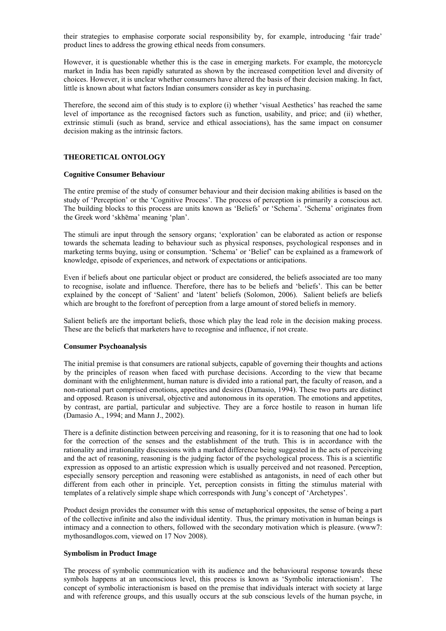their strategies to emphasise corporate social responsibility by, for example, introducing 'fair trade' product lines to address the growing ethical needs from consumers.

However, it is questionable whether this is the case in emerging markets. For example, the motorcycle market in India has been rapidly saturated as shown by the increased competition level and diversity of choices. However, it is unclear whether consumers have altered the basis of their decision making. In fact, little is known about what factors Indian consumers consider as key in purchasing.

Therefore, the second aim of this study is to explore (i) whether 'visual Aesthetics' has reached the same level of importance as the recognised factors such as function, usability, and price; and (ii) whether, extrinsic stimuli (such as brand, service and ethical associations), has the same impact on consumer decision making as the intrinsic factors.

#### **THEORETICAL ONTOLOGY**

#### **Cognitive Consumer Behaviour**

The entire premise of the study of consumer behaviour and their decision making abilities is based on the study of 'Perception' or the 'Cognitive Process'. The process of perception is primarily a conscious act. The building blocks to this process are units known as 'Beliefs' or 'Schema'. 'Schema' originates from the Greek word 'skhēma' meaning 'plan'.

The stimuli are input through the sensory organs; 'exploration' can be elaborated as action or response towards the schemata leading to behaviour such as physical responses, psychological responses and in marketing terms buying, using or consumption. 'Schema' or 'Belief' can be explained as a framework of knowledge, episode of experiences, and network of expectations or anticipations.

Even if beliefs about one particular object or product are considered, the beliefs associated are too many to recognise, isolate and influence. Therefore, there has to be beliefs and 'beliefs'. This can be better explained by the concept of 'Salient' and 'latent' beliefs (Solomon, 2006). Salient beliefs are beliefs which are brought to the forefront of perception from a large amount of stored beliefs in memory.

Salient beliefs are the important beliefs, those which play the lead role in the decision making process. These are the beliefs that marketers have to recognise and influence, if not create.

#### **Consumer Psychoanalysis**

The initial premise is that consumers are rational subjects, capable of governing their thoughts and actions by the principles of reason when faced with purchase decisions. According to the view that became dominant with the enlightenment, human nature is divided into a rational part, the faculty of reason, and a non-rational part comprised emotions, appetites and desires (Damasio, 1994). These two parts are distinct and opposed. Reason is universal, objective and autonomous in its operation. The emotions and appetites, by contrast, are partial, particular and subjective. They are a force hostile to reason in human life (Damasio A., 1994; and Mann J., 2002).

There is a definite distinction between perceiving and reasoning, for it is to reasoning that one had to look for the correction of the senses and the establishment of the truth. This is in accordance with the rationality and irrationality discussions with a marked difference being suggested in the acts of perceiving and the act of reasoning, reasoning is the judging factor of the psychological process. This is a scientific expression as opposed to an artistic expression which is usually perceived and not reasoned. Perception, especially sensory perception and reasoning were established as antagonists, in need of each other but different from each other in principle. Yet, perception consists in fitting the stimulus material with templates of a relatively simple shape which corresponds with Jung's concept of 'Archetypes'.

Product design provides the consumer with this sense of metaphorical opposites, the sense of being a part of the collective infinite and also the individual identity. Thus, the primary motivation in human beings is intimacy and a connection to others, followed with the secondary motivation which is pleasure. (www7: mythosandlogos.com, viewed on 17 Nov 2008).

#### **Symbolism in Product Image**

The process of symbolic communication with its audience and the behavioural response towards these symbols happens at an unconscious level, this process is known as 'Symbolic interactionism'. The concept of symbolic interactionism is based on the premise that individuals interact with society at large and with reference groups, and this usually occurs at the sub conscious levels of the human psyche, in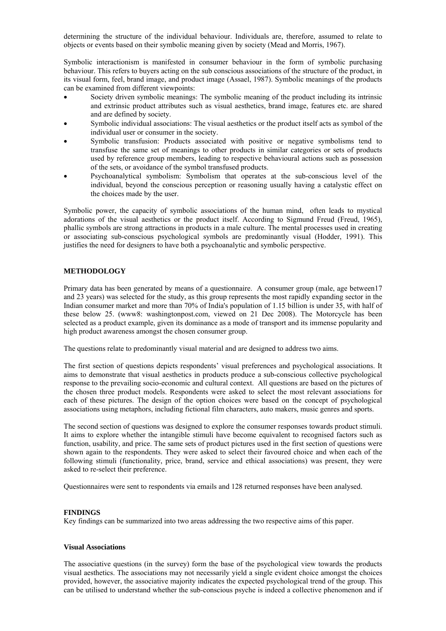determining the structure of the individual behaviour. Individuals are, therefore, assumed to relate to objects or events based on their symbolic meaning given by society (Mead and Morris, 1967).

Symbolic interactionism is manifested in consumer behaviour in the form of symbolic purchasing behaviour. This refers to buyers acting on the sub conscious associations of the structure of the product, in its visual form, feel, brand image, and product image (Assael, 1987). Symbolic meanings of the products can be examined from different viewpoints:

- Society driven symbolic meanings: The symbolic meaning of the product including its intrinsic and extrinsic product attributes such as visual aesthetics, brand image, features etc. are shared and are defined by society.
- Symbolic individual associations: The visual aesthetics or the product itself acts as symbol of the individual user or consumer in the society.
- Symbolic transfusion: Products associated with positive or negative symbolisms tend to transfuse the same set of meanings to other products in similar categories or sets of products used by reference group members, leading to respective behavioural actions such as possession of the sets, or avoidance of the symbol transfused products.
- Psychoanalytical symbolism: Symbolism that operates at the sub-conscious level of the individual, beyond the conscious perception or reasoning usually having a catalystic effect on the choices made by the user.

Symbolic power, the capacity of symbolic associations of the human mind, often leads to mystical adorations of the visual aesthetics or the product itself. According to Sigmund Freud (Freud, 1965), phallic symbols are strong attractions in products in a male culture. The mental processes used in creating or associating sub-conscious psychological symbols are predominantly visual (Hodder, 1991). This justifies the need for designers to have both a psychoanalytic and symbolic perspective.

## **METHODOLOGY**

Primary data has been generated by means of a questionnaire. A consumer group (male, age between17 and 23 years) was selected for the study, as this group represents the most rapidly expanding sector in the Indian consumer market and more than 70% of India's population of 1.15 billion is under 35, with half of these below 25. (www8: washingtonpost.com, viewed on 21 Dec 2008). The Motorcycle has been selected as a product example, given its dominance as a mode of transport and its immense popularity and high product awareness amongst the chosen consumer group.

The questions relate to predominantly visual material and are designed to address two aims.

The first section of questions depicts respondents' visual preferences and psychological associations. It aims to demonstrate that visual aesthetics in products produce a sub-conscious collective psychological response to the prevailing socio-economic and cultural context. All questions are based on the pictures of the chosen three product models. Respondents were asked to select the most relevant associations for each of these pictures. The design of the option choices were based on the concept of psychological associations using metaphors, including fictional film characters, auto makers, music genres and sports.

The second section of questions was designed to explore the consumer responses towards product stimuli. It aims to explore whether the intangible stimuli have become equivalent to recognised factors such as function, usability, and price. The same sets of product pictures used in the first section of questions were shown again to the respondents. They were asked to select their favoured choice and when each of the following stimuli (functionality, price, brand, service and ethical associations) was present, they were asked to re-select their preference.

Questionnaires were sent to respondents via emails and 128 returned responses have been analysed.

## **FINDINGS**

Key findings can be summarized into two areas addressing the two respective aims of this paper.

#### **Visual Associations**

The associative questions (in the survey) form the base of the psychological view towards the products visual aesthetics. The associations may not necessarily yield a single evident choice amongst the choices provided, however, the associative majority indicates the expected psychological trend of the group. This can be utilised to understand whether the sub-conscious psyche is indeed a collective phenomenon and if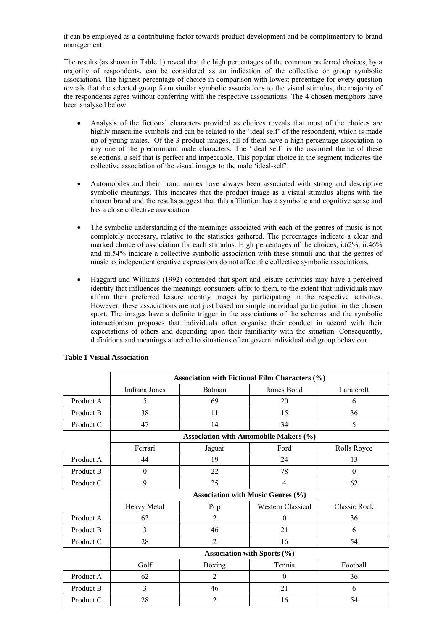it can be employed as a contributing factor towards product development and be complimentary to brand management.

The results (as shown in Table 1) reveal that the high percentages of the common preferred choices, by a majority of respondents, can be considered as an indication of the collective or group symbolic associations. The highest percentage of choice in comparison with lowest percentage for every question reveals that the selected group form similar symbolic associations to the visual stimulus, the majority of the respondents agree without conferring with the respective associations. The 4 chosen metaphors have been analysed below:

- Analysis of the fictional characters provided as choices reveals that most of the choices are highly masculine symbols and can be related to the 'ideal self' of the respondent, which is made up of young males. Of the 3 product images, all of them have a high percentage association to any one of the predominant male characters. The 'ideal self' is the assumed theme of these selections, a self that is perfect and impeccable. This popular choice in the segment indicates the collective association of the visual images to the male 'ideal-self'.
- Automobiles and their brand names have always been associated with strong and descriptive symbolic meanings. This indicates that the product image as a visual stimulus aligns with the chosen brand and the results suggest that this affiliation has a symbolic and cognitive sense and has a close collective association.
- The symbolic understanding of the meanings associated with each of the genres of music is not completely necessary, relative to the statistics gathered. The percentages indicate a clear and marked choice of association for each stimulus. High percentages of the choices, i.62%, ii.46% and iii.54% indicate a collective symbolic association with these stimuli and that the genres of music as independent creative expressions do not affect the collective symbolic associations.
- Haggard and Williams (1992) contended that sport and leisure activities may have a perceived identity that influences the meanings consumers affix to them, to the extent that individuals may affirm their preferred leisure identity images by participating in the respective activities. However, these associations are not just based on simple individual participation in the chosen sport. The images have a definite trigger in the associations of the schemas and the symbolic interactionism proposes that individuals often organise their conduct in accord with their expectations of others and depending upon their familiarity with the situation. Consequently, definitions and meanings attached to situations often govern individual and group behaviour.

|                 | <b>Association with Fictional Film Characters (%)</b> |                                          |                                               |                     |  |  |
|-----------------|-------------------------------------------------------|------------------------------------------|-----------------------------------------------|---------------------|--|--|
|                 | Indiana Jones                                         | Batman                                   | James Bond                                    | Lara croft          |  |  |
| Product A       | 5                                                     | 69                                       | 20                                            | 6                   |  |  |
| Product B       | 38                                                    | 11                                       | 36<br>15                                      |                     |  |  |
| Product C       | 47                                                    | 14                                       | 34                                            | 5                   |  |  |
|                 |                                                       |                                          | <b>Association with Automobile Makers (%)</b> |                     |  |  |
|                 | Ferrari                                               | Jaguar                                   | Ford                                          | Rolls Royce         |  |  |
| Product A       | 44                                                    | 19                                       | 24                                            | 13                  |  |  |
| Product B       | $\theta$                                              | 22                                       | 78                                            | $\mathbf{0}$        |  |  |
| Product C       | 9                                                     | 25                                       | $\overline{4}$                                | 62                  |  |  |
|                 |                                                       | <b>Association with Music Genres (%)</b> |                                               |                     |  |  |
|                 | Heavy Metal                                           | Pop                                      | <b>Western Classical</b>                      | <b>Classic Rock</b> |  |  |
| Product A       | 62                                                    | $\overline{2}$                           | $\theta$                                      | 36                  |  |  |
| Product B       | 3                                                     | 46                                       | 21                                            | 6                   |  |  |
| Product C       | 28                                                    | $\overline{2}$                           | 16                                            | 54                  |  |  |
|                 | Association with Sports (%)                           |                                          |                                               |                     |  |  |
|                 | Golf                                                  | Boxing                                   | Tennis                                        | Football            |  |  |
| Product A       | 62                                                    | 2                                        | $\theta$                                      | 36                  |  |  |
| Product B       | $\overline{3}$                                        | 46                                       | 21                                            | 6                   |  |  |
| 28<br>Product C |                                                       | $\overline{2}$                           | 16                                            | 54                  |  |  |

# **Table 1 Visual Association**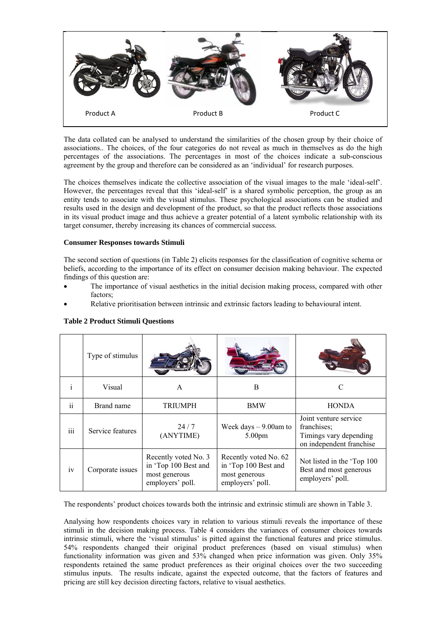

The data collated can be analysed to understand the similarities of the chosen group by their choice of associations.. The choices, of the four categories do not reveal as much in themselves as do the high percentages of the associations. The percentages in most of the choices indicate a sub-conscious agreement by the group and therefore can be considered as an 'individual' for research purposes.

The choices themselves indicate the collective association of the visual images to the male 'ideal-self'. However, the percentages reveal that this 'ideal-self' is a shared symbolic perception, the group as an entity tends to associate with the visual stimulus. These psychological associations can be studied and results used in the design and development of the product, so that the product reflects those associations in its visual product image and thus achieve a greater potential of a latent symbolic relationship with its target consumer, thereby increasing its chances of commercial success.

# **Consumer Responses towards Stimuli**

The second section of questions (in Table 2) elicits responses for the classification of cognitive schema or beliefs, according to the importance of its effect on consumer decision making behaviour. The expected findings of this question are:

- The importance of visual aesthetics in the initial decision making process, compared with other factors;
- Relative prioritisation between intrinsic and extrinsic factors leading to behavioural intent.

|               | Type of stimulus |                                                                                   |                                                                                    |                                                                                            |
|---------------|------------------|-----------------------------------------------------------------------------------|------------------------------------------------------------------------------------|--------------------------------------------------------------------------------------------|
| $\mathbf{i}$  | Visual           | A                                                                                 | B                                                                                  | C                                                                                          |
| $\mathbf{ii}$ | Brand name       | <b>TRIUMPH</b>                                                                    | <b>BMW</b>                                                                         | <b>HONDA</b>                                                                               |
| iii           | Service features | 24/7<br>(ANYTIME)                                                                 | Week days $-9.00$ am to<br>5.00 <sub>pm</sub>                                      | Joint venture service<br>franchises;<br>Timings vary depending<br>on independent franchise |
| iv            | Corporate issues | Recently voted No. 3<br>in 'Top 100 Best and<br>most generous<br>employers' poll. | Recently voted No. 62<br>in 'Top 100 Best and<br>most generous<br>employers' poll. | Not listed in the 'Top 100<br>Best and most generous<br>employers' poll.                   |

# **Table 2 Product Stimuli Questions**

The respondents' product choices towards both the intrinsic and extrinsic stimuli are shown in Table 3.

Analysing how respondents choices vary in relation to various stimuli reveals the importance of these stimuli in the decision making process. Table 4 considers the variances of consumer choices towards intrinsic stimuli, where the 'visual stimulus' is pitted against the functional features and price stimulus. 54% respondents changed their original product preferences (based on visual stimulus) when functionality information was given and 53% changed when price information was given. Only 35% respondents retained the same product preferences as their original choices over the two succeeding stimulus inputs. The results indicate, against the expected outcome, that the factors of features and pricing are still key decision directing factors, relative to visual aesthetics.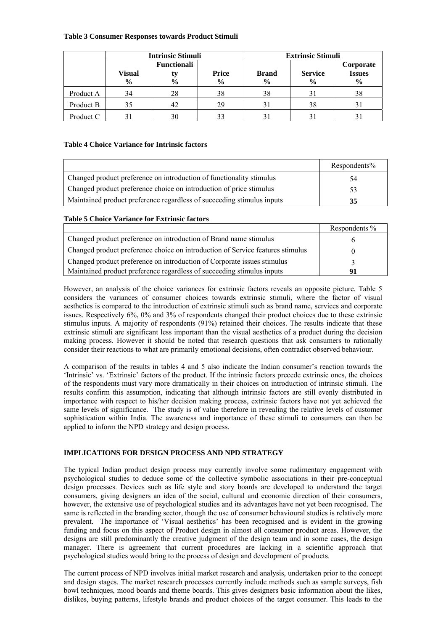## **Table 3 Consumer Responses towards Product Stimuli**

|           | <b>Intrinsic Stimuli</b>       |                                           |                               | <b>Extrinsic Stimuli</b>      |                                 |                                    |
|-----------|--------------------------------|-------------------------------------------|-------------------------------|-------------------------------|---------------------------------|------------------------------------|
|           | <b>Visual</b><br>$\frac{0}{0}$ | <b>Functionali</b><br>ty<br>$\frac{6}{9}$ | <b>Price</b><br>$\frac{6}{9}$ | <b>Brand</b><br>$\frac{6}{9}$ | <b>Service</b><br>$\frac{0}{0}$ | Corporate<br><b>Issues</b><br>$\%$ |
| Product A | 34                             | 28                                        | 38                            | 38                            | 31                              | 38                                 |
| Product B | 35                             | 42                                        | 29                            |                               | 38                              |                                    |
| Product C |                                | 30                                        |                               |                               | 3 <sup>1</sup>                  |                                    |

# **Table 4 Choice Variance for Intrinsic factors**

|                                                                        | Respondents% |
|------------------------------------------------------------------------|--------------|
| Changed product preference on introduction of functionality stimulus   | 54           |
| Changed product preference choice on introduction of price stimulus    | 53           |
| Maintained product preference regardless of succeeding stimulus inputs | 35           |

# **Table 5 Choice Variance for Extrinsic factors**

|                                                                                | Respondents % |
|--------------------------------------------------------------------------------|---------------|
| Changed product preference on introduction of Brand name stimulus              |               |
| Changed product preference choice on introduction of Service features stimulus |               |
| Changed product preference on introduction of Corporate issues stimulus        |               |
| Maintained product preference regardless of succeeding stimulus inputs         | 01            |

However, an analysis of the choice variances for extrinsic factors reveals an opposite picture. Table 5 considers the variances of consumer choices towards extrinsic stimuli, where the factor of visual aesthetics is compared to the introduction of extrinsic stimuli such as brand name, services and corporate issues. Respectively 6%, 0% and 3% of respondents changed their product choices due to these extrinsic stimulus inputs. A majority of respondents (91%) retained their choices. The results indicate that these extrinsic stimuli are significant less important than the visual aesthetics of a product during the decision making process. However it should be noted that research questions that ask consumers to rationally consider their reactions to what are primarily emotional decisions, often contradict observed behaviour.

A comparison of the results in tables 4 and 5 also indicate the Indian consumer's reaction towards the 'Intrinsic' vs. 'Extrinsic' factors of the product. If the intrinsic factors precede extrinsic ones, the choices of the respondents must vary more dramatically in their choices on introduction of intrinsic stimuli. The results confirm this assumption, indicating that although intrinsic factors are still evenly distributed in importance with respect to his/her decision making process, extrinsic factors have not yet achieved the same levels of significance. The study is of value therefore in revealing the relative levels of customer sophistication within India. The awareness and importance of these stimuli to consumers can then be applied to inform the NPD strategy and design process.

## **IMPLICATIONS FOR DESIGN PROCESS AND NPD STRATEGY**

The typical Indian product design process may currently involve some rudimentary engagement with psychological studies to deduce some of the collective symbolic associations in their pre-conceptual design processes. Devices such as life style and story boards are developed to understand the target consumers, giving designers an idea of the social, cultural and economic direction of their consumers, however, the extensive use of psychological studies and its advantages have not yet been recognised. The same is reflected in the branding sector, though the use of consumer behavioural studies is relatively more prevalent. The importance of 'Visual aesthetics' has been recognised and is evident in the growing funding and focus on this aspect of Product design in almost all consumer product areas. However, the designs are still predominantly the creative judgment of the design team and in some cases, the design manager. There is agreement that current procedures are lacking in a scientific approach that psychological studies would bring to the process of design and development of products.

The current process of NPD involves initial market research and analysis, undertaken prior to the concept and design stages. The market research processes currently include methods such as sample surveys, fish bowl techniques, mood boards and theme boards. This gives designers basic information about the likes, dislikes, buying patterns, lifestyle brands and product choices of the target consumer. This leads to the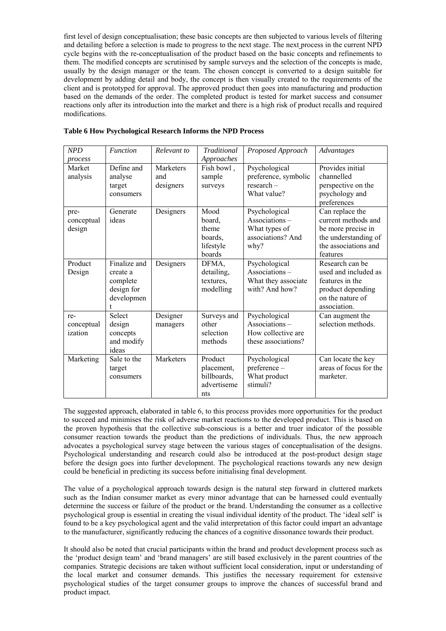first level of design conceptualisation; these basic concepts are then subjected to various levels of filtering and detailing before a selection is made to progress to the next stage. The next process in the current NPD cycle begins with the re-conceptualisation of the product based on the basic concepts and refinements to them. The modified concepts are scrutinised by sample surveys and the selection of the concepts is made, usually by the design manager or the team. The chosen concept is converted to a design suitable for development by adding detail and body, the concept is then visually created to the requirements of the client and is prototyped for approval. The approved product then goes into manufacturing and production based on the demands of the order. The completed product is tested for market success and consumer reactions only after its introduction into the market and there is a high risk of product recalls and required modifications.

| NPD<br>process               | <b>Function</b>                                                  | Relevant to                   | <b>Traditional</b><br>Approaches                           | Proposed Approach                                                            | Advantages                                                                                                               |
|------------------------------|------------------------------------------------------------------|-------------------------------|------------------------------------------------------------|------------------------------------------------------------------------------|--------------------------------------------------------------------------------------------------------------------------|
| Market<br>analysis           | Define and<br>analyse<br>target<br>consumers                     | Marketers<br>and<br>designers | Fish bowl,<br>sample<br>surveys                            | Psychological<br>preference, symbolic<br>$research -$<br>What value?         | Provides initial<br>channelled<br>perspective on the<br>psychology and<br>preferences                                    |
| pre-<br>conceptual<br>design | Generate<br>ideas                                                | Designers                     | Mood<br>board.<br>theme<br>boards,<br>lifestyle<br>boards  | Psychological<br>Associations-<br>What types of<br>associations? And<br>why? | Can replace the<br>current methods and<br>be more precise in<br>the understanding of<br>the associations and<br>features |
| Product<br>Design            | Finalize and<br>create a<br>complete<br>design for<br>developmen | Designers                     | DFMA.<br>detailing,<br>textures.<br>modelling              | Psychological<br>Associations-<br>What they associate<br>with? And how?      | Research can be<br>used and included as<br>features in the<br>product depending<br>on the nature of<br>association.      |
| re-<br>conceptual<br>ization | Select<br>design<br>concepts<br>and modify<br>ideas              | Designer<br>managers          | Surveys and<br>other<br>selection<br>methods               | Psychological<br>Associations-<br>How collective are<br>these associations?  | Can augment the<br>selection methods.                                                                                    |
| Marketing                    | Sale to the<br>target<br>consumers                               | Marketers                     | Product<br>placement,<br>billboards,<br>advertiseme<br>nts | Psychological<br>preference-<br>What product<br>stimuli?                     | Can locate the key<br>areas of focus for the<br>marketer.                                                                |

#### **Table 6 How Psychological Research Informs the NPD Process**

The suggested approach, elaborated in table 6, to this process provides more opportunities for the product to succeed and minimises the risk of adverse market reactions to the developed product. This is based on the proven hypothesis that the collective sub-conscious is a better and truer indicator of the possible consumer reaction towards the product than the predictions of individuals. Thus, the new approach advocates a psychological survey stage between the various stages of conceptualisation of the designs. Psychological understanding and research could also be introduced at the post-product design stage before the design goes into further development. The psychological reactions towards any new design could be beneficial in predicting its success before initialising final development.

The value of a psychological approach towards design is the natural step forward in cluttered markets such as the Indian consumer market as every minor advantage that can be harnessed could eventually determine the success or failure of the product or the brand. Understanding the consumer as a collective psychological group is essential in creating the visual individual identity of the product. The 'ideal self' is found to be a key psychological agent and the valid interpretation of this factor could impart an advantage to the manufacturer, significantly reducing the chances of a cognitive dissonance towards their product.

It should also be noted that crucial participants within the brand and product development process such as the 'product design team' and 'brand managers' are still based exclusively in the parent countries of the companies. Strategic decisions are taken without sufficient local consideration, input or understanding of the local market and consumer demands. This justifies the necessary requirement for extensive psychological studies of the target consumer groups to improve the chances of successful brand and product impact.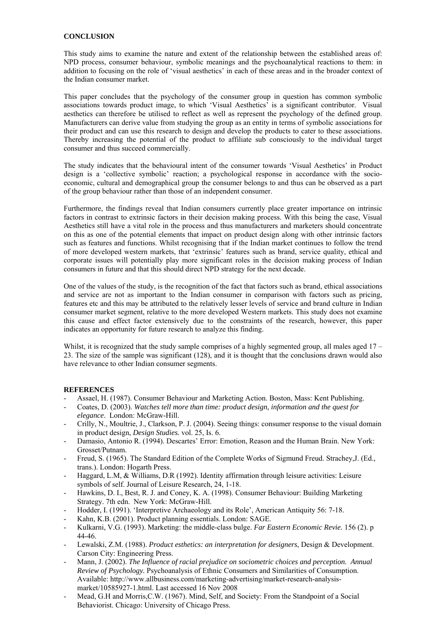## **CONCLUSION**

This study aims to examine the nature and extent of the relationship between the established areas of: NPD process, consumer behaviour, symbolic meanings and the psychoanalytical reactions to them: in addition to focusing on the role of 'visual aesthetics' in each of these areas and in the broader context of the Indian consumer market.

This paper concludes that the psychology of the consumer group in question has common symbolic associations towards product image, to which 'Visual Aesthetics' is a significant contributor. Visual aesthetics can therefore be utilised to reflect as well as represent the psychology of the defined group. Manufacturers can derive value from studying the group as an entity in terms of symbolic associations for their product and can use this research to design and develop the products to cater to these associations. Thereby increasing the potential of the product to affiliate sub consciously to the individual target consumer and thus succeed commercially.

The study indicates that the behavioural intent of the consumer towards 'Visual Aesthetics' in Product design is a 'collective symbolic' reaction; a psychological response in accordance with the socioeconomic, cultural and demographical group the consumer belongs to and thus can be observed as a part of the group behaviour rather than those of an independent consumer.

Furthermore, the findings reveal that Indian consumers currently place greater importance on intrinsic factors in contrast to extrinsic factors in their decision making process. With this being the case, Visual Aesthetics still have a vital role in the process and thus manufacturers and marketers should concentrate on this as one of the potential elements that impact on product design along with other intrinsic factors such as features and functions. Whilst recognising that if the Indian market continues to follow the trend of more developed western markets, that 'extrinsic' features such as brand, service quality, ethical and corporate issues will potentially play more significant roles in the decision making process of Indian consumers in future and that this should direct NPD strategy for the next decade.

One of the values of the study, is the recognition of the fact that factors such as brand, ethical associations and service are not as important to the Indian consumer in comparison with factors such as pricing, features etc and this may be attributed to the relatively lesser levels of service and brand culture in Indian consumer market segment, relative to the more developed Western markets. This study does not examine this cause and effect factor extensively due to the constraints of the research, however, this paper indicates an opportunity for future research to analyze this finding.

Whilst, it is recognized that the study sample comprises of a highly segmented group, all males aged  $17 -$ 23. The size of the sample was significant (128), and it is thought that the conclusions drawn would also have relevance to other Indian consumer segments.

# **REFERENCES**

- Assael, H. (1987). Consumer Behaviour and Marketing Action. Boston, Mass: Kent Publishing.
- Coates, D. (2003). *Watches tell more than time: product design, information and the quest for elegance*. London: McGraw-Hill.
- Crilly, N., Moultrie, J., Clarkson, P. J. (2004). Seeing things: consumer response to the visual domain in product design, *Design Studies.* vol. 25, Is. 6.
- Damasio, Antonio R. (1994). Descartes' Error: Emotion, Reason and the Human Brain. New York: Grosset/Putnam.
- Freud, S. (1965). The Standard Edition of the Complete Works of Sigmund Freud. Strachey,J. (Ed., trans.). London: Hogarth Press.
- Haggard, L.M, & Williams, D.R (1992). Identity affirmation through leisure activities: Leisure symbols of self. Journal of Leisure Research, 24, 1-18.
- Hawkins, D. I., Best, R. J. and Coney, K. A. (1998). Consumer Behaviour: Building Marketing Strategy. 7th edn. New York: McGraw-Hill.
- Hodder, I. (1991). 'Interpretive Archaeology and its Role', American Antiquity 56: 7-18.
- Kahn, K.B. (2001). Product planning essentials. London: SAGE.
- Kulkarni, V.G. (1993). Marketing: the middle-class bulge. *Far Eastern Economic Revie.* 156 (2). p 44-46.
- Lewalski, Z.M. (1988). *Product esthetics: an interpretation for designers*, Design & Development. Carson City: Engineering Press.
- Mann, J. (2002). *The Influence of racial prejudice on sociometric choices and perception. Annual Review of Psychology.* Psychoanalysis of Ethnic Consumers and Similarities of Consumption. Available: http://www.allbusiness.com/marketing-advertising/market-research-analysismarket/10585927-1.html. Last accessed 16 Nov 2008
- Mead, G.H and Morris, C.W. (1967). Mind, Self, and Society: From the Standpoint of a Social Behaviorist. Chicago: University of Chicago Press.